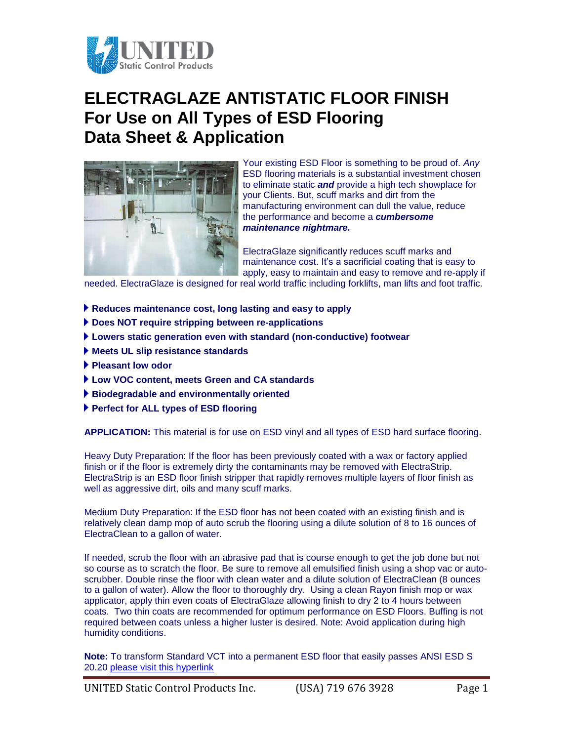

## **ELECTRAGLAZE ANTISTATIC FLOOR FINISH For Use on All Types of ESD Flooring Data Sheet & Application**



Your existing ESD Floor is something to be proud of. *Any* ESD flooring materials is a substantial investment chosen to eliminate static *and* provide a high tech showplace for your Clients. But, scuff marks and dirt from the manufacturing environment can dull the value, reduce the performance and become a *cumbersome maintenance nightmare.*

ElectraGlaze significantly reduces scuff marks and maintenance cost. It's a sacrificial coating that is easy to apply, easy to maintain and easy to remove and re-apply if

needed. ElectraGlaze is designed for real world traffic including forklifts, man lifts and foot traffic.

- **Reduces maintenance cost, long lasting and easy to apply**
- **Does NOT require stripping between re-applications**
- **Lowers static generation even with standard (non-conductive) footwear**
- **Meets UL slip resistance standards**
- **Pleasant low odor**
- **Low VOC content, meets Green and CA standards**
- **Biodegradable and environmentally oriented**
- **Perfect for ALL types of ESD flooring**

**APPLICATION:** This material is for use on ESD vinyl and all types of ESD hard surface flooring.

Heavy Duty Preparation: If the floor has been previously coated with a wax or factory applied finish or if the floor is extremely dirty the contaminants may be removed with ElectraStrip. ElectraStrip is an ESD floor finish stripper that rapidly removes multiple layers of floor finish as well as aggressive dirt, oils and many scuff marks.

Medium Duty Preparation: If the ESD floor has not been coated with an existing finish and is relatively clean damp mop of auto scrub the flooring using a dilute solution of 8 to 16 ounces of ElectraClean to a gallon of water.

If needed, scrub the floor with an abrasive pad that is course enough to get the job done but not so course as to scratch the floor. Be sure to remove all emulsified finish using a shop vac or autoscrubber. Double rinse the floor with clean water and a dilute solution of ElectraClean (8 ounces to a gallon of water). Allow the floor to thoroughly dry. Using a clean Rayon finish mop or wax applicator, apply thin even coats of ElectraGlaze allowing finish to dry 2 to 4 hours between coats. Two thin coats are recommended for optimum performance on ESD Floors. Buffing is not required between coats unless a higher luster is desired. Note: Avoid application during high humidity conditions.

**Note:** To transform Standard VCT into a permanent ESD floor that easily passes ANSI ESD S 20.20 [please visit this hyperlink](https://ultrastatinc.com/esd_floor_sample_CT.html)